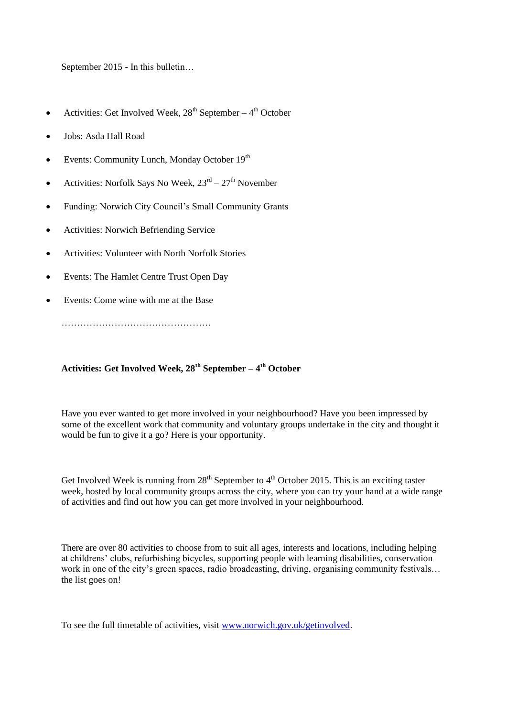September 2015 - In this bulletin…

- Activities: Get Involved Week,  $28<sup>th</sup>$  September  $4<sup>th</sup>$  October
- Jobs: Asda Hall Road
- Events: Community Lunch, Monday October 19<sup>th</sup>
- Activities: Norfolk Says No Week,  $23^{rd} 27^{th}$  November
- Funding: Norwich City Council's Small Community Grants
- Activities: Norwich Befriending Service
- Activities: Volunteer with North Norfolk Stories
- Events: The Hamlet Centre Trust Open Day
- Events: Come wine with me at the Base

…………………………………………

## **Activities: Get Involved Week, 28th September – 4 th October**

Have you ever wanted to get more involved in your neighbourhood? Have you been impressed by some of the excellent work that community and voluntary groups undertake in the city and thought it would be fun to give it a go? Here is your opportunity.

Get Involved Week is running from  $28<sup>th</sup>$  September to  $4<sup>th</sup>$  October 2015. This is an exciting taster week, hosted by local community groups across the city, where you can try your hand at a wide range of activities and find out how you can get more involved in your neighbourhood.

There are over 80 activities to choose from to suit all ages, interests and locations, including helping at childrens' clubs, refurbishing bicycles, supporting people with learning disabilities, conservation work in one of the city's green spaces, radio broadcasting, driving, organising community festivals... the list goes on!

To see the full timetable of activities, visit [www.norwich.gov.uk/getinvolved.](http://www.norwich.gov.uk/getinvolved)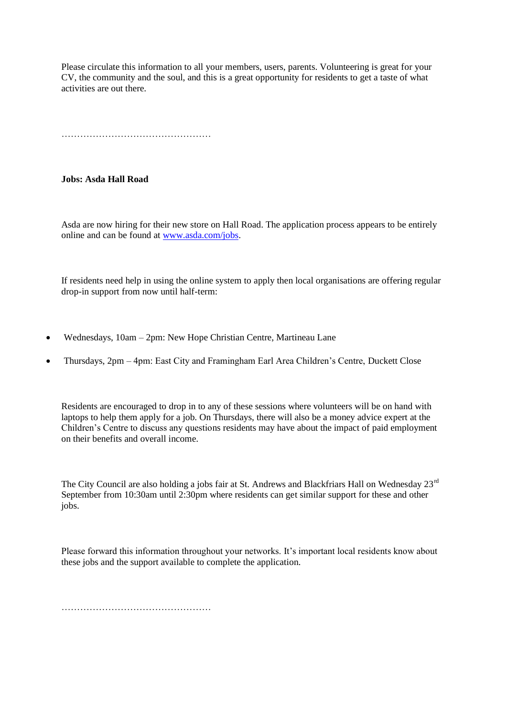Please circulate this information to all your members, users, parents. Volunteering is great for your CV, the community and the soul, and this is a great opportunity for residents to get a taste of what activities are out there.

…………………………………………

## **Jobs: Asda Hall Road**

Asda are now hiring for their new store on Hall Road. The application process appears to be entirely online and can be found at [www.asda.com/jobs.](http://www.asda.com/jobs)

If residents need help in using the online system to apply then local organisations are offering regular drop-in support from now until half-term:

- Wednesdays, 10am 2pm: New Hope Christian Centre, Martineau Lane
- Thursdays, 2pm 4pm: East City and Framingham Earl Area Children's Centre, Duckett Close

Residents are encouraged to drop in to any of these sessions where volunteers will be on hand with laptops to help them apply for a job. On Thursdays, there will also be a money advice expert at the Children's Centre to discuss any questions residents may have about the impact of paid employment on their benefits and overall income.

The City Council are also holding a jobs fair at St. Andrews and Blackfriars Hall on Wednesday 23<sup>rd</sup> September from 10:30am until 2:30pm where residents can get similar support for these and other jobs.

Please forward this information throughout your networks. It's important local residents know about these jobs and the support available to complete the application.

…………………………………………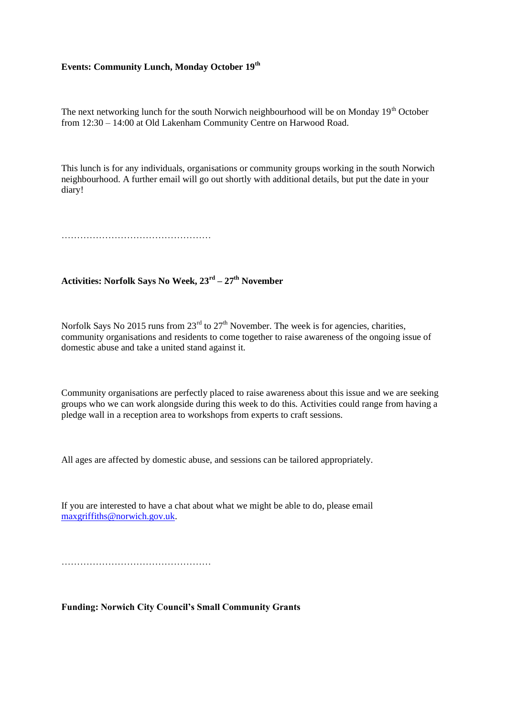## **Events: Community Lunch, Monday October 19th**

The next networking lunch for the south Norwich neighbourhood will be on Monday  $19<sup>th</sup>$  October from 12:30 – 14:00 at Old Lakenham Community Centre on Harwood Road.

This lunch is for any individuals, organisations or community groups working in the south Norwich neighbourhood. A further email will go out shortly with additional details, but put the date in your diary!

…………………………………………

**Activities: Norfolk Says No Week, 23rd – 27 th November**

Norfolk Says No 2015 runs from  $23<sup>rd</sup>$  to  $27<sup>th</sup>$  November. The week is for agencies, charities, community organisations and residents to come together to raise awareness of the ongoing issue of domestic abuse and take a united stand against it.

Community organisations are perfectly placed to raise awareness about this issue and we are seeking groups who we can work alongside during this week to do this. Activities could range from having a pledge wall in a reception area to workshops from experts to craft sessions.

All ages are affected by domestic abuse, and sessions can be tailored appropriately.

If you are interested to have a chat about what we might be able to do, please email [maxgriffiths@norwich.gov.uk.](mailto:maxgriffiths@norwich.gov.uk)

…………………………………………

**Funding: Norwich City Council's Small Community Grants**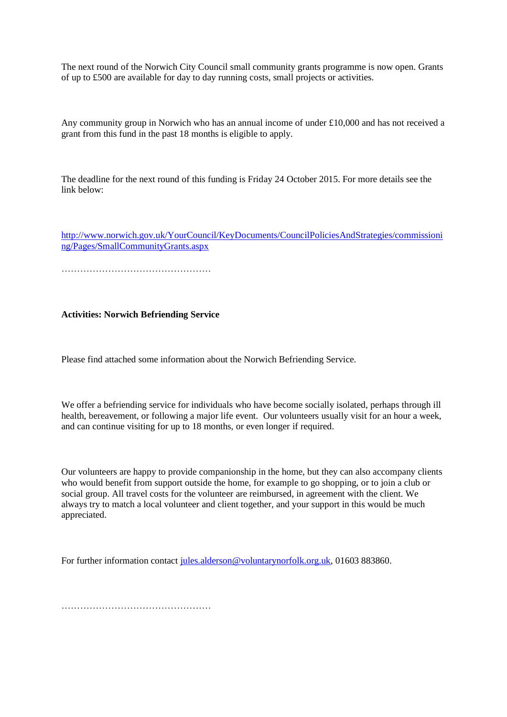The next round of the Norwich City Council small community grants programme is now open. Grants of up to £500 are available for day to day running costs, small projects or activities.

Any community group in Norwich who has an annual income of under £10,000 and has not received a grant from this fund in the past 18 months is eligible to apply.

The deadline for the next round of this funding is Friday 24 October 2015. For more details see the link below:

[http://www.norwich.gov.uk/YourCouncil/KeyDocuments/CouncilPoliciesAndStrategies/commissioni](http://www.norwich.gov.uk/YourCouncil/KeyDocuments/CouncilPoliciesAndStrategies/commissioning/Pages/SmallCommunityGrants.aspx) [ng/Pages/SmallCommunityGrants.aspx](http://www.norwich.gov.uk/YourCouncil/KeyDocuments/CouncilPoliciesAndStrategies/commissioning/Pages/SmallCommunityGrants.aspx)

…………………………………………

**Activities: Norwich Befriending Service**

Please find attached some information about the Norwich Befriending Service.

We offer a befriending service for individuals who have become socially isolated, perhaps through ill health, bereavement, or following a major life event. Our volunteers usually visit for an hour a week, and can continue visiting for up to 18 months, or even longer if required.

Our volunteers are happy to provide companionship in the home, but they can also accompany clients who would benefit from support outside the home, for example to go shopping, or to join a club or social group. All travel costs for the volunteer are reimbursed, in agreement with the client. We always try to match a local volunteer and client together, and your support in this would be much appreciated.

For further information contact [jules.alderson@voluntarynorfolk.org.uk,](mailto:jules.alderson@voluntarynorfolk.org.uk) 01603 883860.

…………………………………………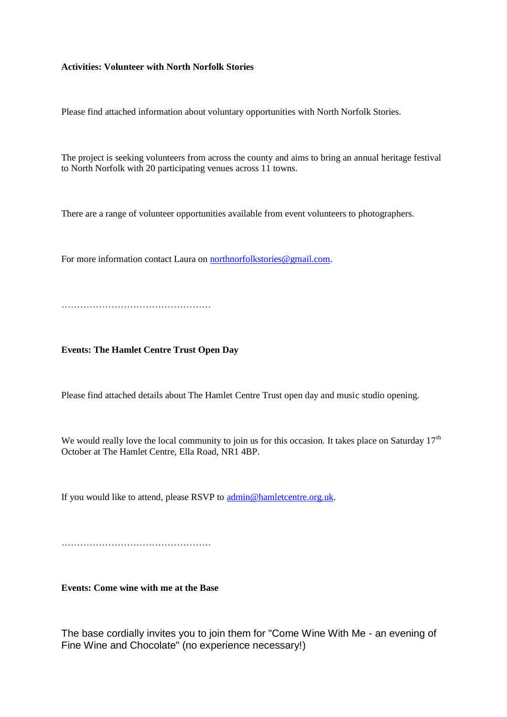## **Activities: Volunteer with North Norfolk Stories**

Please find attached information about voluntary opportunities with North Norfolk Stories.

The project is seeking volunteers from across the county and aims to bring an annual heritage festival to North Norfolk with 20 participating venues across 11 towns.

There are a range of volunteer opportunities available from event volunteers to photographers.

For more information contact Laura on [northnorfolkstories@gmail.com.](mailto:northnorfolkstories@gmail.com)

…………………………………………

**Events: The Hamlet Centre Trust Open Day**

Please find attached details about The Hamlet Centre Trust open day and music studio opening.

We would really love the local community to join us for this occasion. It takes place on Saturday  $17<sup>th</sup>$ October at The Hamlet Centre, Ella Road, NR1 4BP.

If you would like to attend, please RSVP to [admin@hamletcentre.org.uk.](mailto:admin@hamletcentre.org.uk)

…………………………………………

**Events: Come wine with me at the Base**

The base cordially invites you to join them for "Come Wine With Me - an evening of Fine Wine and Chocolate" (no experience necessary!)